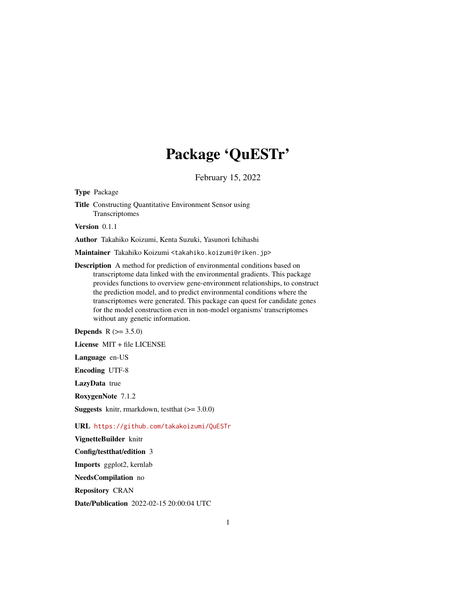## Package 'QuESTr'

February 15, 2022

Type Package

Title Constructing Quantitative Environment Sensor using Transcriptomes

Version 0.1.1

Author Takahiko Koizumi, Kenta Suzuki, Yasunori Ichihashi

Maintainer Takahiko Koizumi <takahiko.koizumi@riken.jp>

Description A method for prediction of environmental conditions based on transcriptome data linked with the environmental gradients. This package provides functions to overview gene-environment relationships, to construct the prediction model, and to predict environmental conditions where the transcriptomes were generated. This package can quest for candidate genes for the model construction even in non-model organisms' transcriptomes without any genetic information.

**Depends** R  $(>= 3.5.0)$ 

License MIT + file LICENSE

Language en-US

Encoding UTF-8

LazyData true

RoxygenNote 7.1.2

**Suggests** knitr, rmarkdown, test that  $(>= 3.0.0)$ 

URL <https://github.com/takakoizumi/QuESTr>

VignetteBuilder knitr

Config/testthat/edition 3

Imports ggplot2, kernlab

NeedsCompilation no

Repository CRAN

Date/Publication 2022-02-15 20:00:04 UTC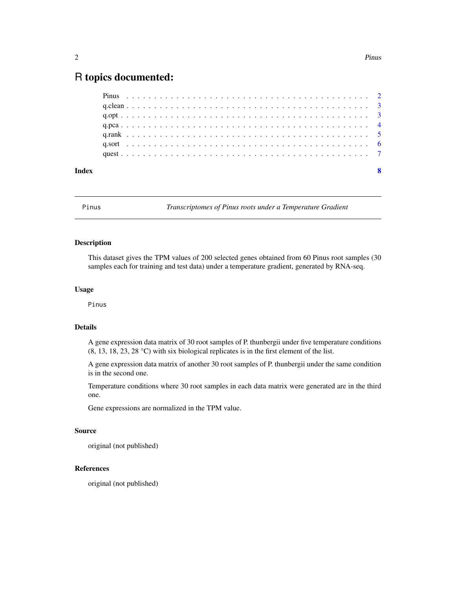### <span id="page-1-0"></span>R topics documented:

Pinus *Transcriptomes of Pinus roots under a Temperature Gradient*

#### Description

This dataset gives the TPM values of 200 selected genes obtained from 60 Pinus root samples (30 samples each for training and test data) under a temperature gradient, generated by RNA-seq.

#### Usage

Pinus

#### Details

A gene expression data matrix of 30 root samples of P. thunbergii under five temperature conditions (8, 13, 18, 23, 28 °C) with six biological replicates is in the first element of the list.

A gene expression data matrix of another 30 root samples of P. thunbergii under the same condition is in the second one.

Temperature conditions where 30 root samples in each data matrix were generated are in the third one.

Gene expressions are normalized in the TPM value.

#### Source

original (not published)

#### References

original (not published)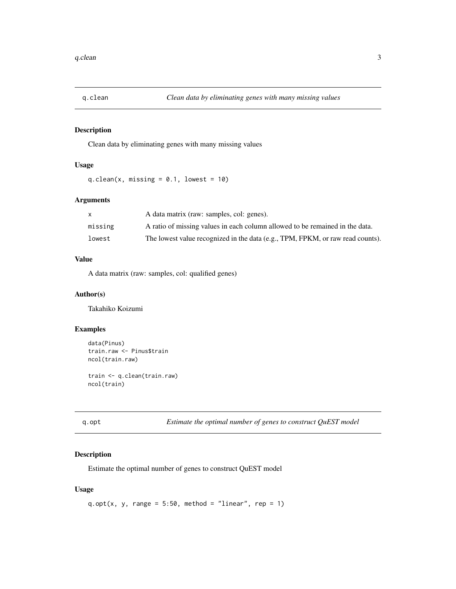<span id="page-2-0"></span>

#### Description

Clean data by eliminating genes with many missing values

#### Usage

q.clean(x, missing =  $0.1$ , lowest =  $10$ )

#### Arguments

|         | A data matrix (raw: samples, col: genes).                                      |
|---------|--------------------------------------------------------------------------------|
| missing | A ratio of missing values in each column allowed to be remained in the data.   |
| lowest  | The lowest value recognized in the data (e.g., TPM, FPKM, or raw read counts). |

#### Value

A data matrix (raw: samples, col: qualified genes)

#### Author(s)

Takahiko Koizumi

#### Examples

```
data(Pinus)
train.raw <- Pinus$train
ncol(train.raw)
train <- q.clean(train.raw)
ncol(train)
```
q.opt *Estimate the optimal number of genes to construct QuEST model*

#### Description

Estimate the optimal number of genes to construct QuEST model

#### Usage

q.opt(x, y, range =  $5:50$ , method = "linear", rep = 1)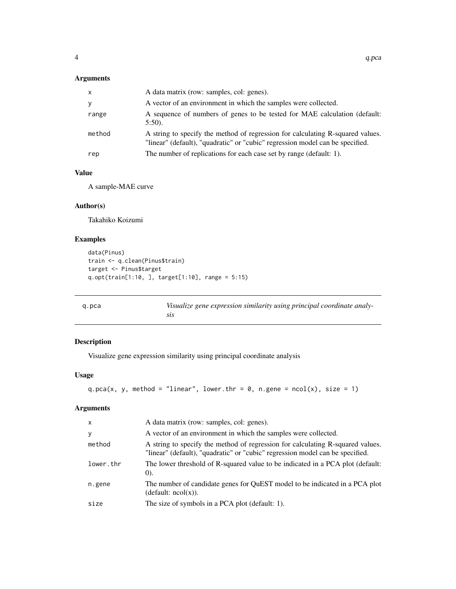#### <span id="page-3-0"></span>Arguments

| $\mathsf{x}$ | A data matrix (row: samples, col: genes).                                                                                                                       |
|--------------|-----------------------------------------------------------------------------------------------------------------------------------------------------------------|
| У            | A vector of an environment in which the samples were collected.                                                                                                 |
| range        | A sequence of numbers of genes to be tested for MAE calculation (default:<br>$5:50$ ).                                                                          |
| method       | A string to specify the method of regression for calculating R-squared values.<br>"linear" (default), "quadratic" or "cubic" regression model can be specified. |
| rep          | The number of replications for each case set by range (default: 1).                                                                                             |

#### Value

A sample-MAE curve

#### Author(s)

Takahiko Koizumi

#### Examples

```
data(Pinus)
train <- q.clean(Pinus$train)
target <- Pinus$target
q.opt(train[1:10, ], target[1:10], range = 5:15)
```
q.pca *Visualize gene expression similarity using principal coordinate analysis*

#### Description

Visualize gene expression similarity using principal coordinate analysis

#### Usage

```
q.pca(x, y, method = "linear", lower.thr = 0, n.gene = ncol(x), size = 1)
```
#### Arguments

| $\times$  | A data matrix (row: samples, col: genes).                                                                                                                       |
|-----------|-----------------------------------------------------------------------------------------------------------------------------------------------------------------|
| У         | A vector of an environment in which the samples were collected.                                                                                                 |
| method    | A string to specify the method of regression for calculating R-squared values.<br>"linear" (default), "quadratic" or "cubic" regression model can be specified. |
| lower.thr | The lower threshold of R-squared value to be indicated in a PCA plot (default:<br>(0).                                                                          |
| n.gene    | The number of candidate genes for QuEST model to be indicated in a PCA plot<br>(detault: ncol(x)).                                                              |
| size      | The size of symbols in a PCA plot (default: 1).                                                                                                                 |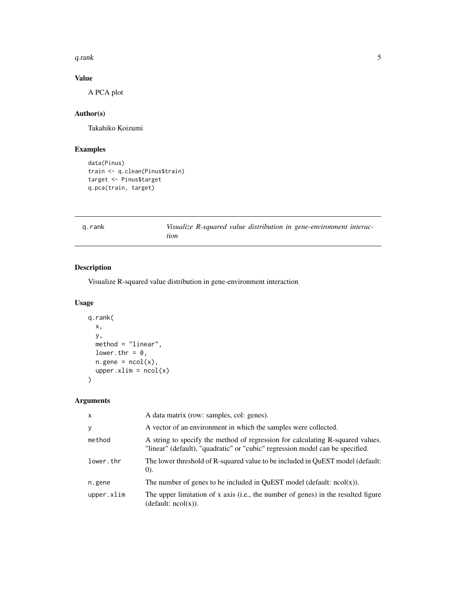<span id="page-4-0"></span> $q$ .rank 5

#### Value

A PCA plot

#### Author(s)

Takahiko Koizumi

#### Examples

```
data(Pinus)
train <- q.clean(Pinus$train)
target <- Pinus$target
q.pca(train, target)
```

|  | k |
|--|---|
|--|---|

k Visualize R-squared value distribution in gene-environment interac*tion*

#### Description

Visualize R-squared value distribution in gene-environment interaction

#### Usage

```
q.rank(
 x,
 y,
 method = "linear",
 lower.thr = 0,
 n.gene = ncol(x),upper.xmlim = ncol(x))
```
#### Arguments

| $\mathsf{x}$ | A data matrix (row: samples, col: genes).                                                                                                                       |
|--------------|-----------------------------------------------------------------------------------------------------------------------------------------------------------------|
| y            | A vector of an environment in which the samples were collected.                                                                                                 |
| method       | A string to specify the method of regression for calculating R-squared values.<br>"linear" (default), "quadratic" or "cubic" regression model can be specified. |
| lower.thr    | The lower threshold of R-squared value to be included in OuEST model (default:<br>(0).                                                                          |
| n.gene       | The number of genes to be included in QuEST model (default: $ncol(x)$ ).                                                                                        |
| upper.xlim   | The upper limitation of x axis (i.e., the number of genes) in the resulted figure<br>(default: ncol(x)).                                                        |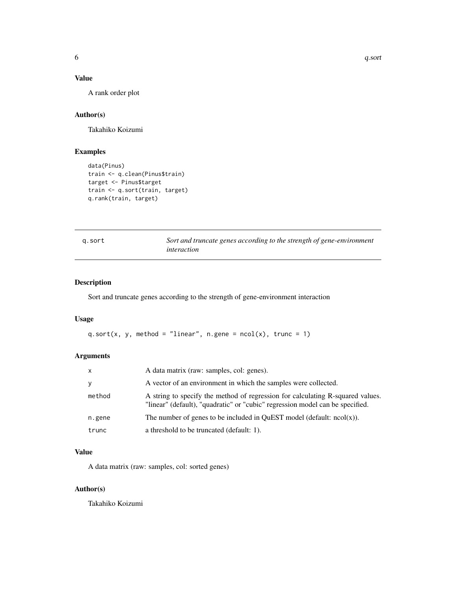#### <span id="page-5-0"></span>Value

A rank order plot

#### Author(s)

Takahiko Koizumi

#### Examples

```
data(Pinus)
train <- q.clean(Pinus$train)
target <- Pinus$target
train <- q.sort(train, target)
q.rank(train, target)
```

|  | r |
|--|---|
|  |   |

q.sort *Sort and truncate genes according to the strength of gene-environment interaction*

#### Description

Sort and truncate genes according to the strength of gene-environment interaction

#### Usage

```
q.sort(x, y, method = "linear", n.gene = ncol(x), trunc = 1)
```
#### Arguments

| X      | A data matrix (raw: samples, col: genes).                                                                                                                       |
|--------|-----------------------------------------------------------------------------------------------------------------------------------------------------------------|
| y      | A vector of an environment in which the samples were collected.                                                                                                 |
| method | A string to specify the method of regression for calculating R-squared values.<br>"linear" (default), "quadratic" or "cubic" regression model can be specified. |
| n.gene | The number of genes to be included in OuEST model (default: $ncol(x)$ ).                                                                                        |
| trunc  | a threshold to be truncated (default: 1).                                                                                                                       |

#### Value

A data matrix (raw: samples, col: sorted genes)

#### Author(s)

Takahiko Koizumi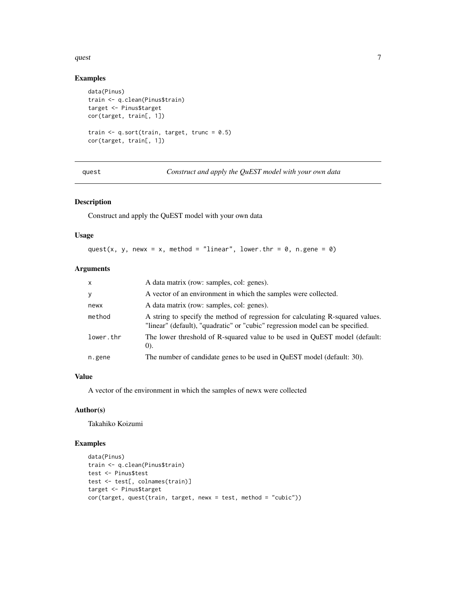#### <span id="page-6-0"></span> $\frac{q}{7}$

#### Examples

```
data(Pinus)
train <- q.clean(Pinus$train)
target <- Pinus$target
cor(target, train[, 1])
train <- q.sort(train, target, trunc = 0.5)
cor(target, train[, 1])
```
quest *Construct and apply the QuEST model with your own data*

#### Description

Construct and apply the QuEST model with your own data

#### Usage

quest(x, y, newx = x, method = "linear", lower.thr =  $0$ , n.gene =  $0$ )

#### Arguments

| $\mathsf{x}$ | A data matrix (row: samples, col: genes).                                                                                                                       |
|--------------|-----------------------------------------------------------------------------------------------------------------------------------------------------------------|
| У            | A vector of an environment in which the samples were collected.                                                                                                 |
| newx         | A data matrix (row: samples, col: genes).                                                                                                                       |
| method       | A string to specify the method of regression for calculating R-squared values.<br>"linear" (default), "quadratic" or "cubic" regression model can be specified. |
| lower.thr    | The lower threshold of R-squared value to be used in QuEST model (default:<br>(0).                                                                              |
| n.gene       | The number of candidate genes to be used in QuEST model (default: 30).                                                                                          |

#### Value

A vector of the environment in which the samples of newx were collected

#### Author(s)

Takahiko Koizumi

#### Examples

```
data(Pinus)
train <- q.clean(Pinus$train)
test <- Pinus$test
test <- test[, colnames(train)]
target <- Pinus$target
cor(target, quest(train, target, newx = test, method = "cubic"))
```